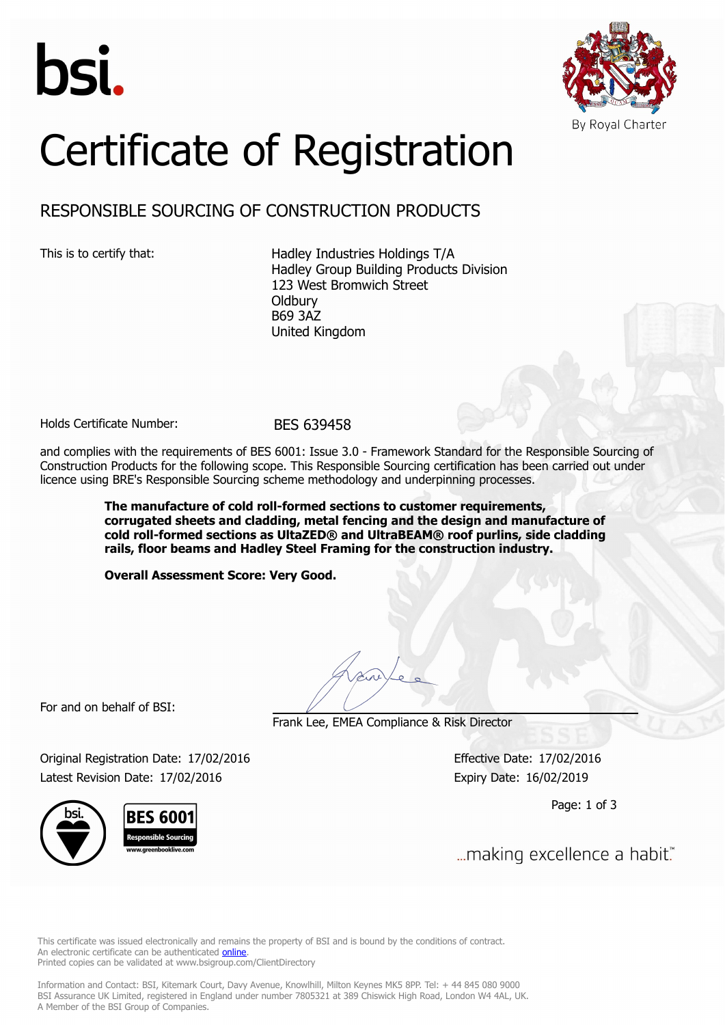



# Certificate of Registration

## RESPONSIBLE SOURCING OF CONSTRUCTION PRODUCTS

This is to certify that: Hadley Industries Holdings T/A Hadley Group Building Products Division 123 West Bromwich Street **Oldbury** B69 3AZ United Kingdom

Holds Certificate Number: BES 639458

and complies with the requirements of BES 6001: Issue 3.0 - Framework Standard for the Responsible Sourcing of Construction Products for the following scope. This Responsible Sourcing certification has been carried out under licence using BRE's Responsible Sourcing scheme methodology and underpinning processes.

> **The manufacture of cold roll-formed sections to customer requirements, corrugated sheets and cladding, metal fencing and the design and manufacture of cold roll-formed sections as UltaZED® and UltraBEAM® roof purlins, side cladding rails, floor beams and Hadley Steel Framing for the construction industry.**

**Overall Assessment Score: Very Good.**

For and on behalf of BSI:

Frank Lee, EMEA Compliance & Risk Director

Original Registration Date: 17/02/2016 Effective Date: 17/02/2016 Latest Revision Date: 17/02/2016 Expiry Date: 16/02/2019

Page: 1 of 3

... making excellence a habit."

This certificate was issued electronically and remains the property of BSI and is bound by the conditions of contract. An electronic certificate can be authenticated **[online](https://pgplus.bsigroup.com/CertificateValidation/CertificateValidator.aspx?CertificateNumber=BES+639458&ReIssueDate=17%2f02%2f2016&Template=uk)**. Printed copies can be validated at www.bsigroup.com/ClientDirectory

Information and Contact: BSI, Kitemark Court, Davy Avenue, Knowlhill, Milton Keynes MK5 8PP. Tel: + 44 845 080 9000 BSI Assurance UK Limited, registered in England under number 7805321 at 389 Chiswick High Road, London W4 4AL, UK. A Member of the BSI Group of Companies.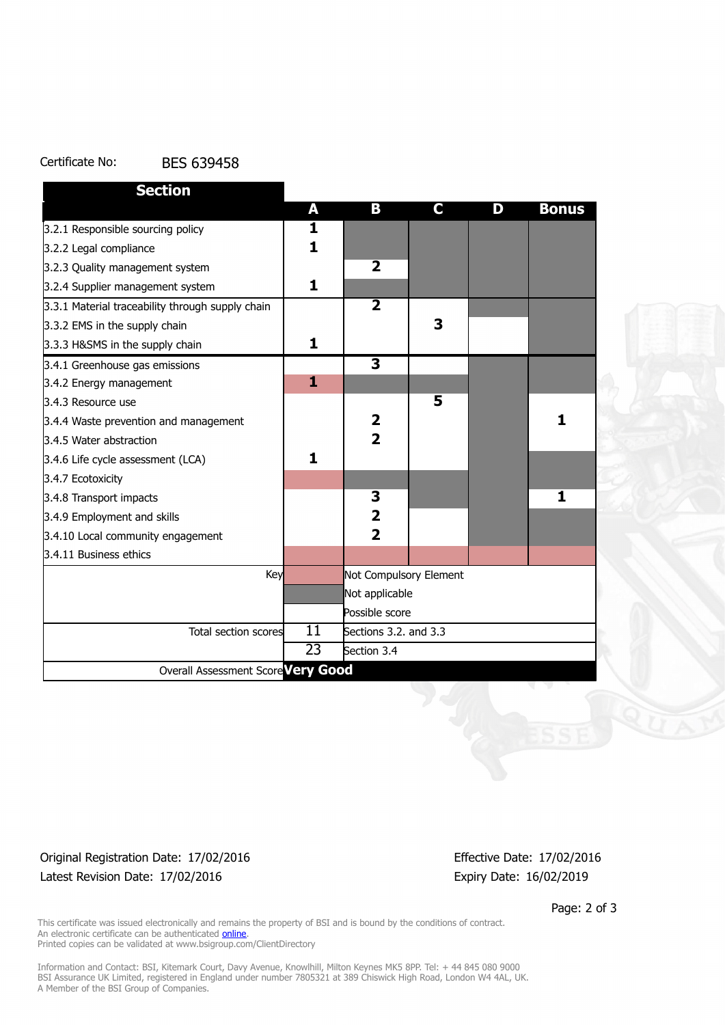#### Certificate No: BES 639458

| <b>Section</b>                                   |                 |                         |    |   |              |
|--------------------------------------------------|-----------------|-------------------------|----|---|--------------|
|                                                  | A               | В                       | C. | D | <b>Bonus</b> |
| 3.2.1 Responsible sourcing policy                | 1               |                         |    |   |              |
| 3.2.2 Legal compliance                           | 1               |                         |    |   |              |
| 3.2.3 Quality management system                  |                 | $\overline{\mathbf{2}}$ |    |   |              |
| 3.2.4 Supplier management system                 | 1               |                         |    |   |              |
| 3.3.1 Material traceability through supply chain |                 | $\overline{2}$          |    |   |              |
| 3.3.2 EMS in the supply chain                    |                 |                         | 3  |   |              |
| 3.3.3 H&SMS in the supply chain                  | 1               |                         |    |   |              |
| 3.4.1 Greenhouse gas emissions                   |                 | $\overline{\mathbf{3}}$ |    |   |              |
| 3.4.2 Energy management                          | 1               |                         |    |   |              |
| 3.4.3 Resource use                               |                 |                         | 5  |   |              |
| 3.4.4 Waste prevention and management            |                 | 2                       |    |   | 1            |
| 3.4.5 Water abstraction                          |                 | $\overline{2}$          |    |   |              |
| 3.4.6 Life cycle assessment (LCA)                | 1               |                         |    |   |              |
| 3.4.7 Ecotoxicity                                |                 |                         |    |   |              |
| 3.4.8 Transport impacts                          |                 | 3                       |    |   | 1            |
| 3.4.9 Employment and skills                      |                 | $\overline{\mathbf{2}}$ |    |   |              |
| 3.4.10 Local community engagement                |                 | $\overline{2}$          |    |   |              |
| 3.4.11 Business ethics                           |                 |                         |    |   |              |
| Key                                              |                 | Not Compulsory Element  |    |   |              |
|                                                  |                 | Not applicable          |    |   |              |
|                                                  |                 | Possible score          |    |   |              |
| Total section scores                             | $\overline{11}$ | Sections 3.2. and 3.3   |    |   |              |
|                                                  | 23              | Section 3.4             |    |   |              |
| Overall Assessment Score Very Good               |                 |                         |    |   |              |

#### Original Registration Date: 17/02/2016 Effective Date: 17/02/2016 Latest Revision Date: 17/02/2016 Expiry Date: 16/02/2019

Page: 2 of 3

This certificate was issued electronically and remains the property of BSI and is bound by the conditions of contract. An electronic certificate can be authenticated **[online](https://pgplus.bsigroup.com/CertificateValidation/CertificateValidator.aspx?CertificateNumber=BES+639458&ReIssueDate=17%2f02%2f2016&Template=uk)**. Printed copies can be validated at www.bsigroup.com/ClientDirectory

Information and Contact: BSI, Kitemark Court, Davy Avenue, Knowlhill, Milton Keynes MK5 8PP. Tel: + 44 845 080 9000 BSI Assurance UK Limited, registered in England under number 7805321 at 389 Chiswick High Road, London W4 4AL, UK. A Member of the BSI Group of Companies.